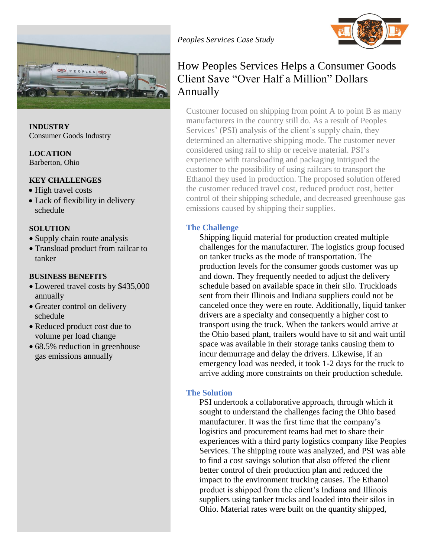

**INDUSTRY** Consumer Goods Industry

**LOCATION** Barberton, Ohio

### **KEY CHALLENGES**

- High travel costs
- Lack of flexibility in delivery schedule

#### **SOLUTION**

- Supply chain route analysis
- Transload product from railcar to tanker

#### **BUSINESS BENEFITS**

- Lowered travel costs by \$435,000 annually
- Greater control on delivery schedule
- Reduced product cost due to volume per load change
- 68.5% reduction in greenhouse gas emissions annually



# How Peoples Services Helps a Consumer Goods Client Save "Over Half a Million" Dollars Annually

Customer focused on shipping from point A to point B as many manufacturers in the country still do. As a result of Peoples Services' (PSI) analysis of the client's supply chain, they determined an alternative shipping mode. The customer never considered using rail to ship or receive material. PSI's experience with transloading and packaging intrigued the customer to the possibility of using railcars to transport the Ethanol they used in production. The proposed solution offered the customer reduced travel cost, reduced product cost, better control of their shipping schedule, and decreased greenhouse gas emissions caused by shipping their supplies.

### **The Challenge**

Shipping liquid material for production created multiple challenges for the manufacturer. The logistics group focused on tanker trucks as the mode of transportation. The production levels for the consumer goods customer was up and down. They frequently needed to adjust the delivery schedule based on available space in their silo. Truckloads sent from their Illinois and Indiana suppliers could not be canceled once they were en route. Additionally, liquid tanker drivers are a specialty and consequently a higher cost to transport using the truck. When the tankers would arrive at the Ohio based plant, trailers would have to sit and wait until space was available in their storage tanks causing them to incur demurrage and delay the drivers. Likewise, if an emergency load was needed, it took 1-2 days for the truck to arrive adding more constraints on their production schedule.

#### **The Solution**

PSI undertook a collaborative approach, through which it sought to understand the challenges facing the Ohio based manufacturer. It was the first time that the company's logistics and procurement teams had met to share their experiences with a third party logistics company like Peoples Services. The shipping route was analyzed, and PSI was able to find a cost savings solution that also offered the client better control of their production plan and reduced the impact to the environment trucking causes. The Ethanol product is shipped from the client's Indiana and Illinois suppliers using tanker trucks and loaded into their silos in Ohio. Material rates were built on the quantity shipped,